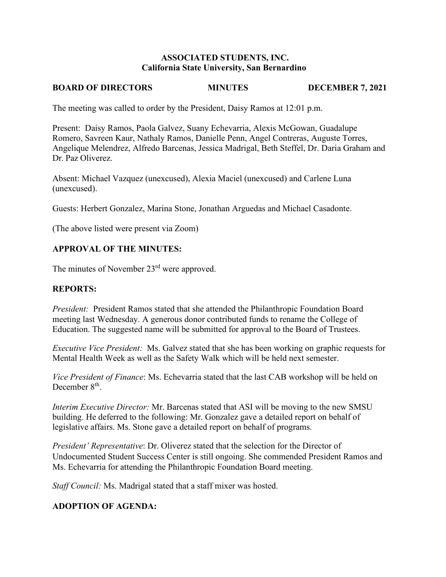### **ASSOCIATED STUDENTS, INC. California State University, San Bernardino**

## **BOARD OF DIRECTORS MINUTES DECEMBER 7, 2021**

The meeting was called to order by the President, Daisy Ramos at 12:01 p.m.

Present: Daisy Ramos, Paola Galvez, Suany Echevarria, Alexis McGowan, Guadalupe Romero, Savreen Kaur, Nathaly Ramos, Danielle Penn, Angel Contreras, Auguste Torres, Angelique Melendrez, Alfredo Barcenas, Jessica Madrigal, Beth Steffel, Dr. Daria Graham and Dr. Paz Oliverez.

Absent: Michael Vazquez (unexcused), Alexia Maciel (unexcused) and Carlene Luna (unexcused).

Guests: Herbert Gonzalez, Marina Stone, Jonathan Arguedas and Michael Casadonte.

(The above listed were present via Zoom)

### **APPROVAL OF THE MINUTES:**

The minutes of November 23<sup>rd</sup> were approved.

### **REPORTS:**

*President:* President Ramos stated that she attended the Philanthropic Foundation Board meeting last Wednesday. A generous donor contributed funds to rename the College of Education. The suggested name will be submitted for approval to the Board of Trustees.

*Executive Vice President:* Ms. Galvez stated that she has been working on graphic requests for Mental Health Week as well as the Safety Walk which will be held next semester.

*Vice President of Finance*: Ms. Echevarria stated that the last CAB workshop will be held on December 8<sup>th</sup>.

*Interim Executive Director:* Mr. Barcenas stated that ASI will be moving to the new SMSU building. He deferred to the following: Mr. Gonzalez gave a detailed report on behalf of legislative affairs. Ms. Stone gave a detailed report on behalf of programs.

*President' Representative*: Dr. Oliverez stated that the selection for the Director of Undocumented Student Success Center is still ongoing. She commended President Ramos and Ms. Echevarria for attending the Philanthropic Foundation Board meeting.

*Staff Council:* Ms. Madrigal stated that a staff mixer was hosted.

### **ADOPTION OF AGENDA:**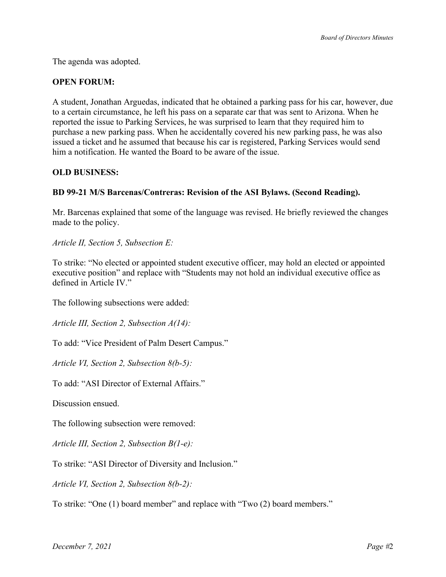The agenda was adopted.

# **OPEN FORUM:**

A student, Jonathan Arguedas, indicated that he obtained a parking pass for his car, however, due to a certain circumstance, he left his pass on a separate car that was sent to Arizona. When he reported the issue to Parking Services, he was surprised to learn that they required him to purchase a new parking pass. When he accidentally covered his new parking pass, he was also issued a ticket and he assumed that because his car is registered, Parking Services would send him a notification. He wanted the Board to be aware of the issue.

### **OLD BUSINESS:**

### **BD 99-21 M/S Barcenas/Contreras: Revision of the ASI Bylaws. (Second Reading).**

Mr. Barcenas explained that some of the language was revised. He briefly reviewed the changes made to the policy.

*Article II, Section 5, Subsection E:*

To strike: "No elected or appointed student executive officer, may hold an elected or appointed executive position" and replace with "Students may not hold an individual executive office as defined in Article IV."

The following subsections were added:

*Article III, Section 2, Subsection A(14):*

To add: "Vice President of Palm Desert Campus."

*Article VI, Section 2, Subsection 8(b-5):*

To add: "ASI Director of External Affairs."

Discussion ensued.

The following subsection were removed:

*Article III, Section 2, Subsection B(1-e):*

To strike: "ASI Director of Diversity and Inclusion."

*Article VI, Section 2, Subsection 8(b-2):*

To strike: "One (1) board member" and replace with "Two (2) board members."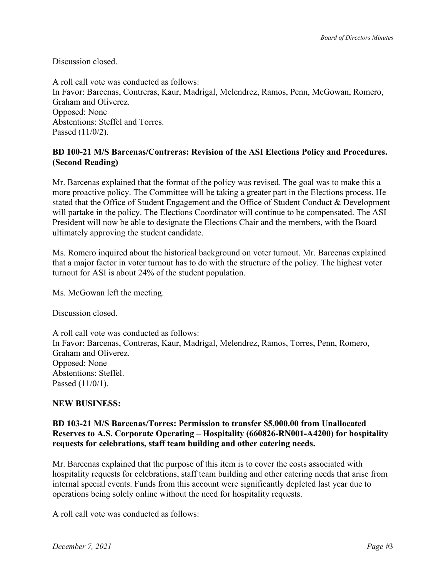Discussion closed.

A roll call vote was conducted as follows: In Favor: Barcenas, Contreras, Kaur, Madrigal, Melendrez, Ramos, Penn, McGowan, Romero, Graham and Oliverez. Opposed: None Abstentions: Steffel and Torres. Passed (11/0/2).

## **BD 100-21 M/S Barcenas/Contreras: Revision of the ASI Elections Policy and Procedures. (Second Reading)**

Mr. Barcenas explained that the format of the policy was revised. The goal was to make this a more proactive policy. The Committee will be taking a greater part in the Elections process. He stated that the Office of Student Engagement and the Office of Student Conduct & Development will partake in the policy. The Elections Coordinator will continue to be compensated. The ASI President will now be able to designate the Elections Chair and the members, with the Board ultimately approving the student candidate.

Ms. Romero inquired about the historical background on voter turnout. Mr. Barcenas explained that a major factor in voter turnout has to do with the structure of the policy. The highest voter turnout for ASI is about 24% of the student population.

Ms. McGowan left the meeting.

Discussion closed.

A roll call vote was conducted as follows: In Favor: Barcenas, Contreras, Kaur, Madrigal, Melendrez, Ramos, Torres, Penn, Romero, Graham and Oliverez. Opposed: None Abstentions: Steffel. Passed (11/0/1).

# **NEW BUSINESS:**

## **BD 103-21 M/S Barcenas/Torres: Permission to transfer \$5,000.00 from Unallocated Reserves to A.S. Corporate Operating – Hospitality (660826-RN001-A4200) for hospitality requests for celebrations, staff team building and other catering needs.**

Mr. Barcenas explained that the purpose of this item is to cover the costs associated with hospitality requests for celebrations, staff team building and other catering needs that arise from internal special events. Funds from this account were significantly depleted last year due to operations being solely online without the need for hospitality requests.

A roll call vote was conducted as follows: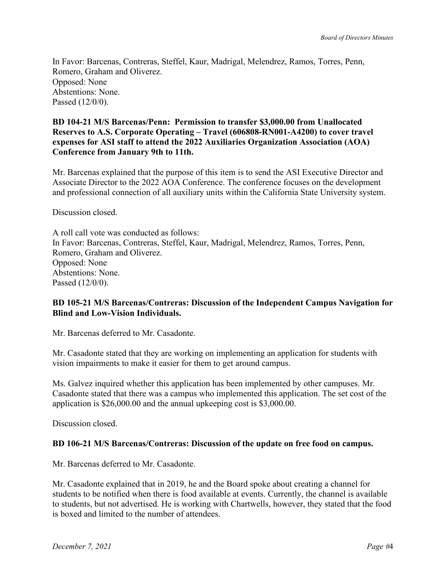In Favor: Barcenas, Contreras, Steffel, Kaur, Madrigal, Melendrez, Ramos, Torres, Penn, Romero, Graham and Oliverez. Opposed: None Abstentions: None. Passed (12/0/0).

## **BD 104-21 M/S Barcenas/Penn: Permission to transfer \$3,000.00 from Unallocated Reserves to A.S. Corporate Operating – Travel (606808-RN001-A4200) to cover travel expenses for ASI staff to attend the 2022 Auxiliaries Organization Association (AOA) Conference from January 9th to 11th.**

Mr. Barcenas explained that the purpose of this item is to send the ASI Executive Director and Associate Director to the 2022 AOA Conference. The conference focuses on the development and professional connection of all auxiliary units within the California State University system.

Discussion closed.

A roll call vote was conducted as follows: In Favor: Barcenas, Contreras, Steffel, Kaur, Madrigal, Melendrez, Ramos, Torres, Penn, Romero, Graham and Oliverez. Opposed: None Abstentions: None. Passed (12/0/0).

### **BD 105-21 M/S Barcenas/Contreras: Discussion of the Independent Campus Navigation for Blind and Low-Vision Individuals.**

Mr. Barcenas deferred to Mr. Casadonte.

Mr. Casadonte stated that they are working on implementing an application for students with vision impairments to make it easier for them to get around campus.

Ms. Galvez inquired whether this application has been implemented by other campuses. Mr. Casadonte stated that there was a campus who implemented this application. The set cost of the application is \$26,000.00 and the annual upkeeping cost is \$3,000.00.

Discussion closed.

### **BD 106-21 M/S Barcenas/Contreras: Discussion of the update on free food on campus.**

Mr. Barcenas deferred to Mr. Casadonte.

Mr. Casadonte explained that in 2019, he and the Board spoke about creating a channel for students to be notified when there is food available at events. Currently, the channel is available to students, but not advertised. He is working with Chartwells, however, they stated that the food is boxed and limited to the number of attendees.